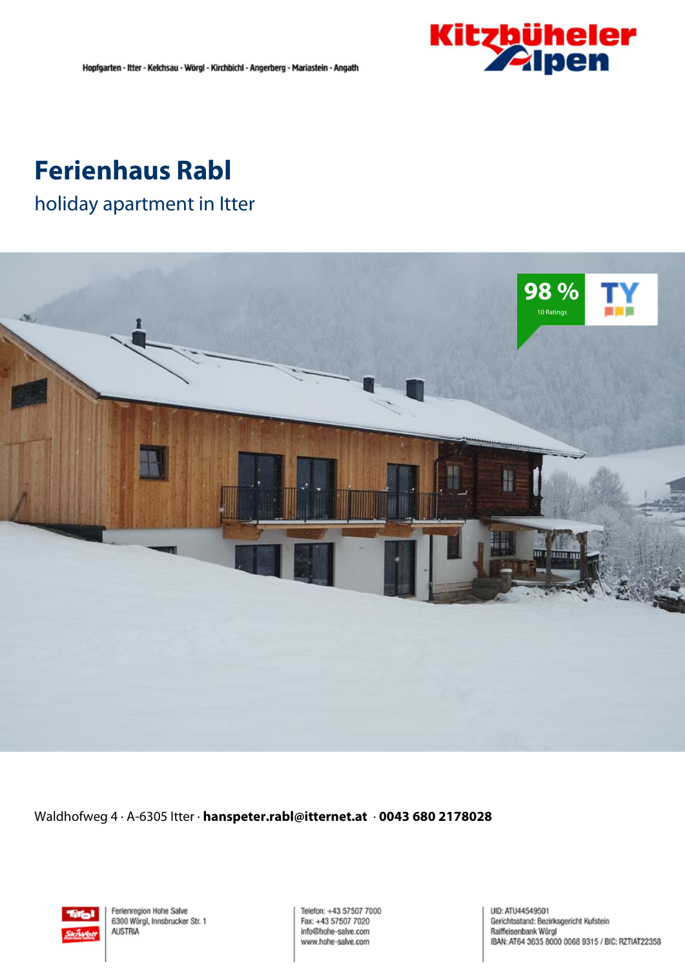

## **Ferienhaus Rabl**

holiday apartment in Itter



Waldhofweg 4 · A-6305 Itter · **hanspeter.rabl@itternet.at** · **0043 680 2178028**



Ferienregion Hohe Salve 6300 Wörgl, Innsbrucker Str. 1 **AUSTRIA** 

Telefon: +43 57507 7000 Fax: +43 57507 7020 info@hohe-salve.com www.hohe-salve.com

UID: ATU44549501 Gerichtsstand: Bezirksgericht Kufstein Raiffeisenbank Wörgl IBAN: AT64 3635 8000 0068 9315 / BIC: RZTIAT22358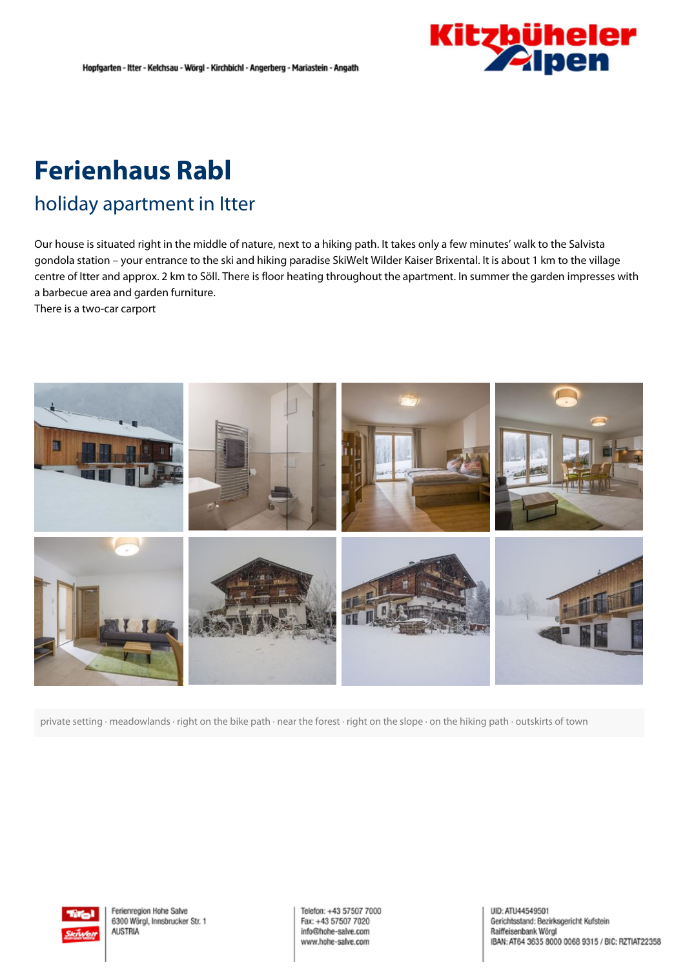

# **Ferienhaus Rabl**

### holiday apartment in Itter

Our house is situated right in the middle of nature, next to <sup>a</sup> hiking path. It takes only <sup>a</sup> few minutes' walk to the Salvista gondola station – your entrance to the ski and hiking paradise SkiWelt Wilder Kaiser Brixental. It is about 1 km to the village centre of Itter and approx. 2 km to Söll. There is floor heating throughout the apartment. In summer the garden impresses with <sup>a</sup> barbecue area and garden furniture.

There is <sup>a</sup> two-car carport



private setting · meadowlands · right on the bike path · near the forest · right on the slope · on the hiking path · outskirts of town



Ferienregion Hohe Salve 6300 Wörgl, Innsbrucker Str. 1 **AUSTRIA** 

Telefon: +43 57507 7000 Fax: +43 57507 7020 info@hohe-salve.com www.hohe-salve.com

UID: ATU44549501 Gerichtsstand: Bezirksgericht Kufstein Raiffeisenbank Wörgl IBAN: AT64 3635 8000 0068 9315 / BIC: RZTIAT22358